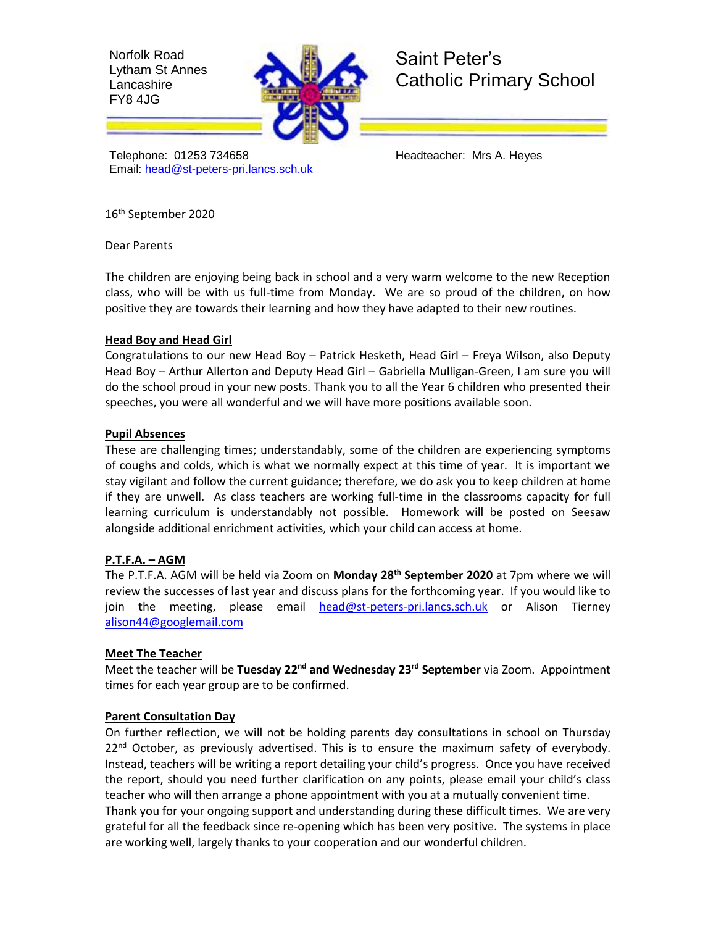Norfolk Road Lytham St Annes Lancashire FY8 4JG



# Saint Peter's Catholic Primary School

Telephone: 01253 734658 Headteacher: Mrs A. Heyes Email: [head@st-peters-pri.lancs.sch.uk](mailto:head@st-peters-pri.lancs.sch.uk)

16th September 2020

Dear Parents

The children are enjoying being back in school and a very warm welcome to the new Reception class, who will be with us full-time from Monday. We are so proud of the children, on how positive they are towards their learning and how they have adapted to their new routines.

## **Head Boy and Head Girl**

Congratulations to our new Head Boy – Patrick Hesketh, Head Girl – Freya Wilson, also Deputy Head Boy – Arthur Allerton and Deputy Head Girl – Gabriella Mulligan-Green, I am sure you will do the school proud in your new posts. Thank you to all the Year 6 children who presented their speeches, you were all wonderful and we will have more positions available soon.

## **Pupil Absences**

These are challenging times; understandably, some of the children are experiencing symptoms of coughs and colds, which is what we normally expect at this time of year. It is important we stay vigilant and follow the current guidance; therefore, we do ask you to keep children at home if they are unwell. As class teachers are working full-time in the classrooms capacity for full learning curriculum is understandably not possible. Homework will be posted on Seesaw alongside additional enrichment activities, which your child can access at home.

# **P.T.F.A. – AGM**

The P.T.F.A. AGM will be held via Zoom on **Monday 28th September 2020** at 7pm where we will review the successes of last year and discuss plans for the forthcoming year. If you would like to join the meeting, please email [head@st-peters-pri.lancs.sch.uk](mailto:head@st-peters-pri.lancs.sch.uk) or Alison Tierney [alison44@googlemail.com](mailto:alison44@googlemail.com)

## **Meet The Teacher**

Meet the teacher will be **Tuesday 22nd and Wednesday 23rd September** via Zoom. Appointment times for each year group are to be confirmed.

## **Parent Consultation Day**

On further reflection, we will not be holding parents day consultations in school on Thursday  $22<sup>nd</sup>$  October, as previously advertised. This is to ensure the maximum safety of everybody. Instead, teachers will be writing a report detailing your child's progress. Once you have received the report, should you need further clarification on any points, please email your child's class teacher who will then arrange a phone appointment with you at a mutually convenient time. Thank you for your ongoing support and understanding during these difficult times. We are very grateful for all the feedback since re-opening which has been very positive. The systems in place are working well, largely thanks to your cooperation and our wonderful children.